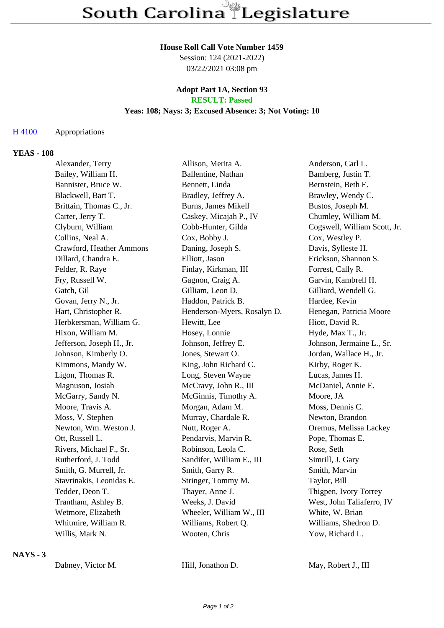#### **House Roll Call Vote Number 1459**

Session: 124 (2021-2022) 03/22/2021 03:08 pm

#### **Adopt Part 1A, Section 93 RESULT: Passed**

# **Yeas: 108; Nays: 3; Excused Absence: 3; Not Voting: 10**

### H 4100 Appropriations

### **YEAS - 108**

| Alexander, Terry          | Allison, Merita A.          | Anderson, Carl L.            |
|---------------------------|-----------------------------|------------------------------|
| Bailey, William H.        | Ballentine, Nathan          | Bamberg, Justin T.           |
| Bannister, Bruce W.       | Bennett, Linda              | Bernstein, Beth E.           |
| Blackwell, Bart T.        | Bradley, Jeffrey A.         | Brawley, Wendy C.            |
| Brittain, Thomas C., Jr.  | Burns, James Mikell         | Bustos, Joseph M.            |
| Carter, Jerry T.          | Caskey, Micajah P., IV      | Chumley, William M.          |
| Clyburn, William          | Cobb-Hunter, Gilda          | Cogswell, William Scott, Jr. |
| Collins, Neal A.          | Cox, Bobby J.               | Cox, Westley P.              |
| Crawford, Heather Ammons  | Daning, Joseph S.           | Davis, Sylleste H.           |
| Dillard, Chandra E.       | Elliott, Jason              | Erickson, Shannon S.         |
| Felder, R. Raye           | Finlay, Kirkman, III        | Forrest, Cally R.            |
| Fry, Russell W.           | Gagnon, Craig A.            | Garvin, Kambrell H.          |
| Gatch, Gil                | Gilliam, Leon D.            | Gilliard, Wendell G.         |
| Govan, Jerry N., Jr.      | Haddon, Patrick B.          | Hardee, Kevin                |
| Hart, Christopher R.      | Henderson-Myers, Rosalyn D. | Henegan, Patricia Moore      |
| Herbkersman, William G.   | Hewitt, Lee                 | Hiott, David R.              |
| Hixon, William M.         | Hosey, Lonnie               | Hyde, Max T., Jr.            |
| Jefferson, Joseph H., Jr. | Johnson, Jeffrey E.         | Johnson, Jermaine L., Sr.    |
| Johnson, Kimberly O.      | Jones, Stewart O.           | Jordan, Wallace H., Jr.      |
| Kimmons, Mandy W.         | King, John Richard C.       | Kirby, Roger K.              |
| Ligon, Thomas R.          | Long, Steven Wayne          | Lucas, James H.              |
| Magnuson, Josiah          | McCravy, John R., III       | McDaniel, Annie E.           |
| McGarry, Sandy N.         | McGinnis, Timothy A.        | Moore, JA                    |
| Moore, Travis A.          | Morgan, Adam M.             | Moss, Dennis C.              |
| Moss, V. Stephen          | Murray, Chardale R.         | Newton, Brandon              |
| Newton, Wm. Weston J.     | Nutt, Roger A.              | Oremus, Melissa Lackey       |
| Ott, Russell L.           | Pendarvis, Marvin R.        | Pope, Thomas E.              |
| Rivers, Michael F., Sr.   | Robinson, Leola C.          | Rose, Seth                   |
| Rutherford, J. Todd       | Sandifer, William E., III   | Simrill, J. Gary             |
| Smith, G. Murrell, Jr.    | Smith, Garry R.             | Smith, Marvin                |
| Stavrinakis, Leonidas E.  | Stringer, Tommy M.          | Taylor, Bill                 |
| Tedder, Deon T.           | Thayer, Anne J.             | Thigpen, Ivory Torrey        |
| Trantham, Ashley B.       | Weeks, J. David             | West, John Taliaferro, IV    |
| Wetmore, Elizabeth        | Wheeler, William W., III    | White, W. Brian              |
| Whitmire, William R.      | Williams, Robert Q.         | Williams, Shedron D.         |
| Willis, Mark N.           | Wooten, Chris               | Yow, Richard L.              |
|                           |                             |                              |

## **NAYS - 3**

Dabney, Victor M. Hill, Jonathon D. May, Robert J., III